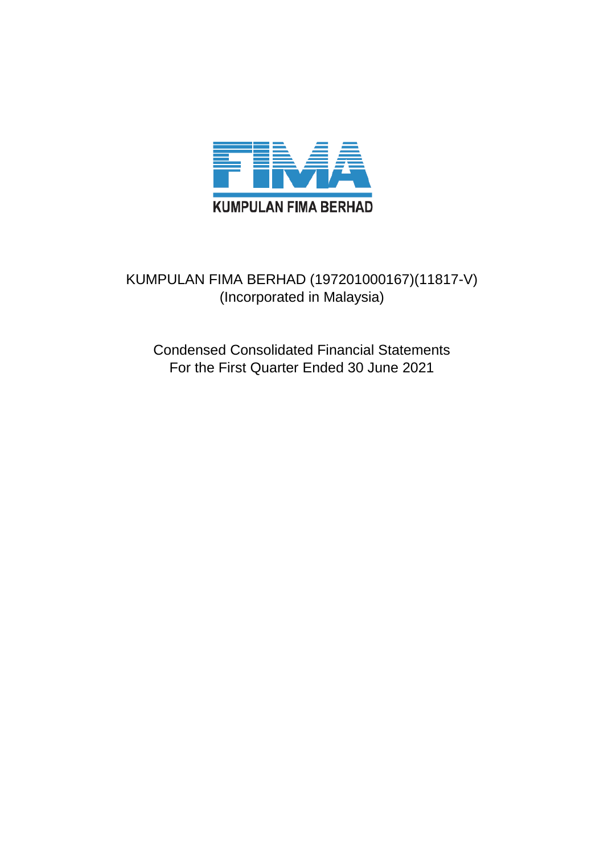

# KUMPULAN FIMA BERHAD (197201000167)(11817-V) (Incorporated in Malaysia)

Condensed Consolidated Financial Statements For the First Quarter Ended 30 June 2021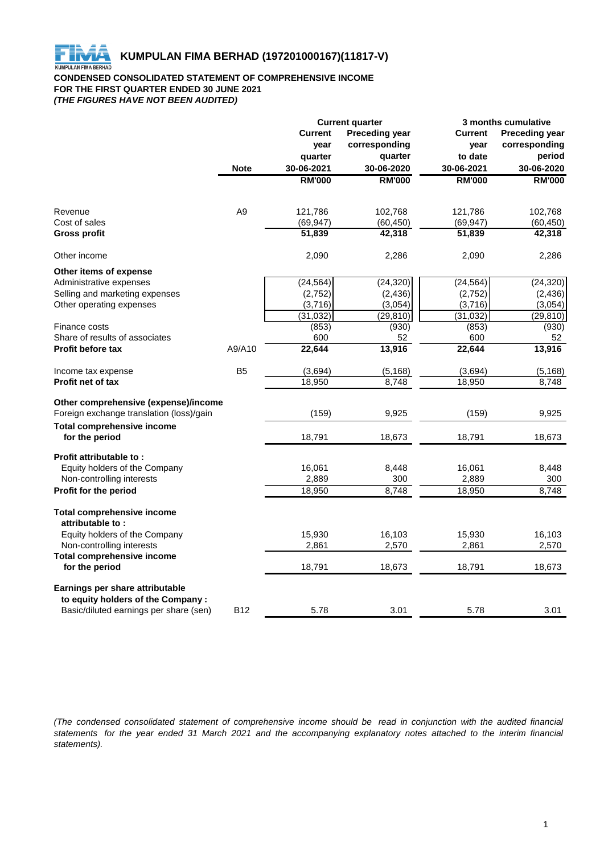

#### **CONDENSED CONSOLIDATED STATEMENT OF COMPREHENSIVE INCOME FOR THE FIRST QUARTER ENDED 30 JUNE 2021** *(THE FIGURES HAVE NOT BEEN AUDITED)*

|                                                                      | <b>Current quarter</b> |                 |                       | 3 months cumulative |                       |  |
|----------------------------------------------------------------------|------------------------|-----------------|-----------------------|---------------------|-----------------------|--|
|                                                                      |                        | <b>Current</b>  | <b>Preceding year</b> | <b>Current</b>      | <b>Preceding year</b> |  |
|                                                                      |                        | year<br>quarter | corresponding         | year                | corresponding         |  |
|                                                                      |                        |                 | quarter               | to date             | period                |  |
|                                                                      | <b>Note</b>            | 30-06-2021      | 30-06-2020            | 30-06-2021          | 30-06-2020            |  |
|                                                                      |                        | <b>RM'000</b>   | <b>RM'000</b>         | <b>RM'000</b>       | <b>RM'000</b>         |  |
| Revenue                                                              | A <sub>9</sub>         | 121,786         | 102,768               | 121,786             | 102,768               |  |
| Cost of sales                                                        |                        | (69, 947)       | (60, 450)             | (69, 947)           | (60, 450)             |  |
| <b>Gross profit</b>                                                  |                        | 51,839          | 42,318                | 51,839              | 42,318                |  |
| Other income                                                         |                        | 2,090           | 2,286                 | 2,090               | 2,286                 |  |
| Other items of expense                                               |                        |                 |                       |                     |                       |  |
| Administrative expenses                                              |                        | (24, 564)       | (24, 320)             | (24, 564)           | (24, 320)             |  |
| Selling and marketing expenses                                       |                        | (2,752)         | (2, 436)              | (2,752)             | (2, 436)              |  |
| Other operating expenses                                             |                        | (3,716)         | (3,054)               | (3,716)             | (3,054)               |  |
|                                                                      |                        | (31, 032)       | (29, 810)             | (31, 032)           | (29, 810)             |  |
| Finance costs                                                        |                        | (853)           | (930)                 | (853)               | (930)                 |  |
| Share of results of associates                                       |                        | 600             | 52                    | 600                 | 52                    |  |
| Profit before tax                                                    | A9/A10                 | 22,644          | 13,916                | 22,644              | 13,916                |  |
| Income tax expense                                                   | B <sub>5</sub>         | (3,694)         | (5, 168)              | (3,694)             | (5, 168)              |  |
| Profit net of tax                                                    |                        | 18,950          | 8,748                 | 18,950              | 8,748                 |  |
| Other comprehensive (expense)/income                                 |                        |                 |                       |                     |                       |  |
| Foreign exchange translation (loss)/gain                             |                        | (159)           | 9,925                 | (159)               | 9,925                 |  |
| <b>Total comprehensive income</b>                                    |                        |                 |                       |                     |                       |  |
| for the period                                                       |                        | 18,791          | 18,673                | 18,791              | 18,673                |  |
| Profit attributable to:                                              |                        |                 |                       |                     |                       |  |
| Equity holders of the Company                                        |                        | 16,061          | 8,448                 | 16,061              | 8,448                 |  |
| Non-controlling interests                                            |                        | 2,889           | 300                   | 2,889               | 300                   |  |
| Profit for the period                                                |                        | 18,950          | 8,748                 | 18,950              | 8,748                 |  |
| <b>Total comprehensive income</b><br>attributable to:                |                        |                 |                       |                     |                       |  |
| Equity holders of the Company                                        |                        | 15,930          | 16,103                | 15,930              | 16,103                |  |
| Non-controlling interests                                            |                        | 2,861           | 2,570                 | 2,861               | 2,570                 |  |
| <b>Total comprehensive income</b>                                    |                        |                 |                       |                     |                       |  |
| for the period                                                       |                        | 18,791          | 18,673                | 18,791              | 18,673                |  |
| Earnings per share attributable<br>to equity holders of the Company: |                        |                 |                       |                     |                       |  |
| Basic/diluted earnings per share (sen)                               | <b>B12</b>             | 5.78            | 3.01                  | 5.78                | 3.01                  |  |

(The condensed consolidated statement of comprehensive income should be read in conjunction with the audited financial statements for the year ended 31 March 2021 and the accompanying explanatory notes attached to the interim financial *statements).*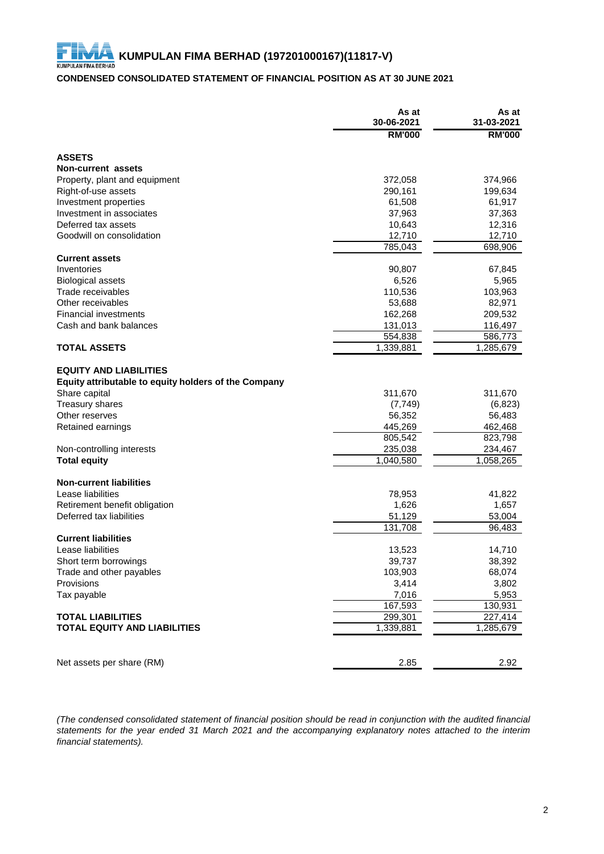#### **CONDENSED CONSOLIDATED STATEMENT OF FINANCIAL POSITION AS AT 30 JUNE 2021**

|                                                                                       | As at<br>30-06-2021 | As at<br>31-03-2021 |
|---------------------------------------------------------------------------------------|---------------------|---------------------|
|                                                                                       | <b>RM'000</b>       | <b>RM'000</b>       |
| <b>ASSETS</b>                                                                         |                     |                     |
| Non-current assets                                                                    |                     |                     |
| Property, plant and equipment                                                         | 372,058             | 374,966             |
| Right-of-use assets                                                                   | 290,161             | 199,634             |
| Investment properties                                                                 | 61,508              | 61,917              |
| Investment in associates                                                              | 37,963              | 37,363              |
| Deferred tax assets                                                                   | 10,643              | 12,316              |
| Goodwill on consolidation                                                             | 12,710              | 12,710              |
|                                                                                       | 785,043             | 698,906             |
| <b>Current assets</b>                                                                 |                     |                     |
| Inventories                                                                           | 90,807              | 67,845              |
| <b>Biological assets</b>                                                              | 6,526               | 5,965               |
| Trade receivables                                                                     | 110,536             | 103,963             |
| Other receivables                                                                     | 53,688              | 82,971              |
| <b>Financial investments</b>                                                          | 162,268             | 209,532             |
| Cash and bank balances                                                                | 131,013             | 116,497             |
|                                                                                       | 554,838             | 586,773             |
| <b>TOTAL ASSETS</b>                                                                   | 1,339,881           | 1,285,679           |
| <b>EQUITY AND LIABILITIES</b><br>Equity attributable to equity holders of the Company |                     |                     |
| Share capital                                                                         | 311,670             | 311,670             |
| <b>Treasury shares</b>                                                                | (7, 749)            | (6, 823)            |
| Other reserves                                                                        | 56,352              | 56,483              |
| Retained earnings                                                                     | 445,269             | 462,468             |
|                                                                                       | 805,542             | 823,798             |
| Non-controlling interests                                                             | 235,038             | 234,467             |
| <b>Total equity</b>                                                                   | 1,040,580           | 1,058,265           |
| <b>Non-current liabilities</b>                                                        |                     |                     |
| Lease liabilities                                                                     | 78,953              | 41,822              |
| Retirement benefit obligation                                                         | 1,626               | 1,657               |
| Deferred tax liabilities                                                              | 51,129              | 53,004              |
|                                                                                       | 131,708             | 96,483              |
| <b>Current liabilities</b>                                                            |                     |                     |
| Lease liabilities                                                                     | 13,523              | 14,710              |
| Short term borrowings                                                                 | 39,737              | 38,392              |
| Trade and other payables                                                              | 103,903             | 68,074              |
| Provisions                                                                            | 3,414               | 3,802               |
| Tax payable                                                                           | 7,016               | 5,953               |
|                                                                                       | 167,593             | 130,931             |
| <b>TOTAL LIABILITIES</b>                                                              | 299,301             | 227,414             |
| <b>TOTAL EQUITY AND LIABILITIES</b>                                                   | 1,339,881           | 1,285,679           |
|                                                                                       |                     |                     |
| Net assets per share (RM)                                                             | 2.85                | 2.92                |

(The condensed consolidated statement of financial position should be read in conjunction with the audited financial statements for the year ended 31 March 2021 and the accompanying explanatory notes attached to the interim *financial statements).*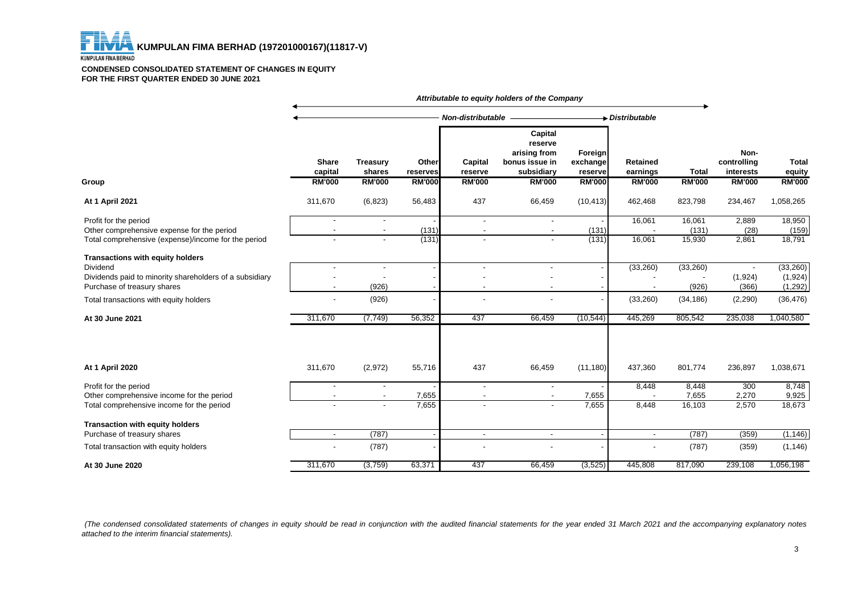FI  **KUMPULAN FIMA BERHAD (197201000167)(11817-V) KUMPULAN FIMA BERHAD** 

#### **CONDENSED CONSOLIDATED STATEMENT OF CHANGES IN EQUITY FOR THE FIRST QUARTER ENDED 30 JUNE 2021**

|                                                                                                                                                      |                          |                           |                   |                           | Attributable to equity holders of the Company                             |                                |                             |                   |                                  |                                 |
|------------------------------------------------------------------------------------------------------------------------------------------------------|--------------------------|---------------------------|-------------------|---------------------------|---------------------------------------------------------------------------|--------------------------------|-----------------------------|-------------------|----------------------------------|---------------------------------|
|                                                                                                                                                      |                          |                           |                   | Non-distributable         |                                                                           |                                | Distributable               |                   |                                  |                                 |
|                                                                                                                                                      | <b>Share</b><br>capital  | <b>Treasury</b><br>shares | Other<br>reserves | <b>Capital</b><br>reserve | <b>Capital</b><br>reserve<br>arising from<br>bonus issue in<br>subsidiary | Foreign<br>exchange<br>reserve | <b>Retained</b><br>earnings | <b>Total</b>      | Non-<br>controlling<br>interests | <b>Total</b><br>equity          |
| Group                                                                                                                                                | <b>RM'000</b>            | <b>RM'000</b>             | <b>RM'000</b>     | <b>RM'000</b>             | <b>RM'000</b>                                                             | <b>RM'000</b>                  | <b>RM'000</b>               | <b>RM'000</b>     | <b>RM'000</b>                    | <b>RM'000</b>                   |
| <b>At 1 April 2021</b>                                                                                                                               | 311,670                  | (6, 823)                  | 56,483            | 437                       | 66,459                                                                    | (10, 413)                      | 462,468                     | 823,798           | 234,467                          | 1,058,265                       |
| Profit for the period<br>Other comprehensive expense for the period                                                                                  | $\blacksquare$           |                           | (131)             | $\sim$                    | $\sim$                                                                    | (131)                          | 16,061                      | 16,061<br>(131)   | 2,889<br>(28)                    | 18,950<br>(159)                 |
| Total comprehensive (expense)/income for the period                                                                                                  |                          |                           | (131)             |                           | $\overline{a}$                                                            | (131)                          | 16,061                      | 15,930            | 2,861                            | 18,791                          |
| <b>Transactions with equity holders</b><br><b>Dividend</b><br>Dividends paid to minority shareholders of a subsidiary<br>Purchase of treasury shares | $\blacksquare$           | (926)                     |                   | $\sim$                    | $\blacksquare$                                                            |                                | (33, 260)                   | (33,260)<br>(926) | (1,924)<br>(366)                 | (33, 260)<br>(1,924)<br>(1,292) |
| Total transactions with equity holders                                                                                                               | $\overline{\phantom{a}}$ | (926)                     |                   |                           | $\overline{\phantom{a}}$                                                  |                                | (33, 260)                   | (34, 186)         | (2, 290)                         | (36, 476)                       |
| At 30 June 2021                                                                                                                                      | 311,670                  | (7, 749)                  | 56,352            | 437                       | 66,459                                                                    | (10, 544)                      | 445,269                     | 805,542           | 235,038                          | 1,040,580                       |
| <b>At 1 April 2020</b>                                                                                                                               | 311,670                  | (2,972)                   | 55,716            | 437                       | 66,459                                                                    | (11, 180)                      | 437,360                     | 801,774           | 236,897                          | 1,038,671                       |
|                                                                                                                                                      |                          |                           |                   |                           |                                                                           |                                |                             |                   |                                  |                                 |
| Profit for the period<br>Other comprehensive income for the period                                                                                   |                          |                           | 7,655             |                           |                                                                           | 7,655                          | 8,448                       | 8,448<br>7,655    | 300<br>2,270                     | 8,748<br>9,925                  |
| Total comprehensive income for the period                                                                                                            |                          |                           | 7,655             |                           |                                                                           | 7,655                          | 8,448                       | 16,103            | 2,570                            | 18,673                          |
| <b>Transaction with equity holders</b>                                                                                                               |                          |                           |                   |                           |                                                                           |                                |                             |                   |                                  |                                 |
| Purchase of treasury shares                                                                                                                          | $\sim$                   | (787)                     |                   | $\sim$                    | $\blacksquare$                                                            |                                | $\sim$                      | (787)             | (359)                            | (1, 146)                        |
| Total transaction with equity holders                                                                                                                | $\overline{\phantom{a}}$ | (787)                     |                   |                           |                                                                           |                                |                             | (787)             | (359)                            | (1, 146)                        |
| At 30 June 2020                                                                                                                                      | 311,670                  | (3,759)                   | 63,371            | 437                       | 66,459                                                                    | (3, 525)                       | 445,808                     | 817,090           | 239,108                          | 1,056,198                       |

(The condensed consolidated statements of changes in equity should be read in conjunction with the audited financial statements for the year ended 31 March 2021 and the accompanying explanatory notes *attached to the interim financial statements).*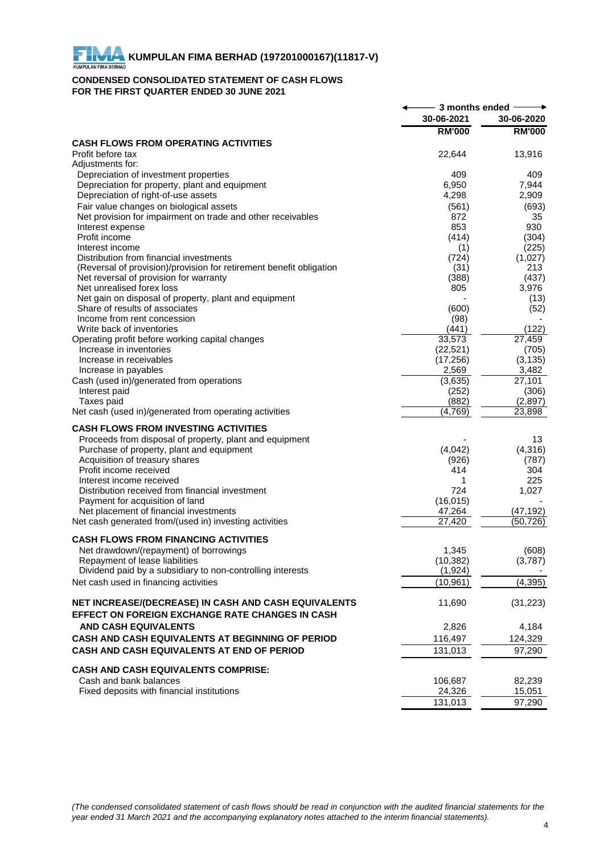## **CONDENSED CONSOLIDATED STATEMENT OF CASH FLOWS FOR THE FIRST QUARTER ENDED 30 JUNE 2021**

|                                                                                         | 3 months ended $-$ |                     |
|-----------------------------------------------------------------------------------------|--------------------|---------------------|
|                                                                                         | 30-06-2021         | 30-06-2020          |
|                                                                                         | <b>RM'000</b>      | <b>RM'000</b>       |
| <b>CASH FLOWS FROM OPERATING ACTIVITIES</b>                                             |                    |                     |
| Profit before tax                                                                       | 22,644             | 13,916              |
| Adjustments for:                                                                        |                    |                     |
| Depreciation of investment properties                                                   | 409                | 409                 |
| Depreciation for property, plant and equipment<br>Depreciation of right-of-use assets   | 6,950<br>4,298     | 7,944<br>2,909      |
| Fair value changes on biological assets                                                 | (561)              | (693)               |
| Net provision for impairment on trade and other receivables                             | 872                | 35                  |
| Interest expense                                                                        | 853                | 930                 |
| Profit income                                                                           | (414)              | (304)               |
| Interest income                                                                         | (1)                | (225)               |
| Distribution from financial investments                                                 | (724)              | (1,027)             |
| (Reversal of provision)/provision for retirement benefit obligation                     | (31)               | 213                 |
| Net reversal of provision for warranty                                                  | (388)              | (437)               |
| Net unrealised forex loss                                                               | 805                | 3,976               |
| Net gain on disposal of property, plant and equipment<br>Share of results of associates | (600)              | (13)<br>(52)        |
| Income from rent concession                                                             | (98)               |                     |
| Write back of inventories                                                               | (441)              | (122)               |
| Operating profit before working capital changes                                         | 33,573             | $\overline{27,459}$ |
| Increase in inventories                                                                 | (22, 521)          | (705)               |
| Increase in receivables                                                                 | (17, 256)          | (3, 135)            |
| Increase in payables                                                                    | 2,569              | 3,482               |
| Cash (used in)/generated from operations                                                | (3,635)            | 27,101              |
| Interest paid                                                                           | (252)              | (306)               |
| Taxes paid<br>Net cash (used in)/generated from operating activities                    | (882)<br>(4,769)   | (2,897)<br>23,898   |
|                                                                                         |                    |                     |
| <b>CASH FLOWS FROM INVESTING ACTIVITIES</b>                                             |                    |                     |
| Proceeds from disposal of property, plant and equipment                                 |                    | 13                  |
| Purchase of property, plant and equipment                                               | (4,042)            | (4,316)             |
| Acquisition of treasury shares                                                          | (926)              | (787)               |
| Profit income received                                                                  | 414                | 304                 |
| Interest income received<br>Distribution received from financial investment             | 724                | 225<br>1,027        |
| Payment for acquisition of land                                                         | (16, 015)          |                     |
| Net placement of financial investments                                                  | 47,264             | (47, 192)           |
| Net cash generated from/(used in) investing activities                                  | 27,420             | (50,726)            |
|                                                                                         |                    |                     |
| <b>CASH FLOWS FROM FINANCING ACTIVITIES</b>                                             |                    |                     |
| Net drawdown/(repayment) of borrowings                                                  | 1,345              | (608)               |
| Repayment of lease liabilities                                                          | (10, 382)          | (3,787)             |
| Dividend paid by a subsidiary to non-controlling interests                              | (1,924)            | (4, 395)            |
| Net cash used in financing activities                                                   | (10, 961)          |                     |
| NET INCREASE/(DECREASE) IN CASH AND CASH EQUIVALENTS                                    | 11,690             | (31, 223)           |
| EFFECT ON FOREIGN EXCHANGE RATE CHANGES IN CASH                                         |                    |                     |
| <b>AND CASH EQUIVALENTS</b>                                                             | 2,826              | 4,184               |
| CASH AND CASH EQUIVALENTS AT BEGINNING OF PERIOD                                        |                    |                     |
|                                                                                         | 116,497            | 124,329             |
| CASH AND CASH EQUIVALENTS AT END OF PERIOD                                              | 131,013            | 97,290              |
| <b>CASH AND CASH EQUIVALENTS COMPRISE:</b>                                              |                    |                     |
| Cash and bank balances                                                                  | 106,687            | 82,239              |
| Fixed deposits with financial institutions                                              | 24,326             | 15,051              |
|                                                                                         | 131,013            | 97,290              |
|                                                                                         |                    |                     |

(The condensed consolidated statement of cash flows should be read in conjunction with the audited financial statements for the *year ended 31 March 2021 and the accompanying explanatory notes attached to the interim financial statements).*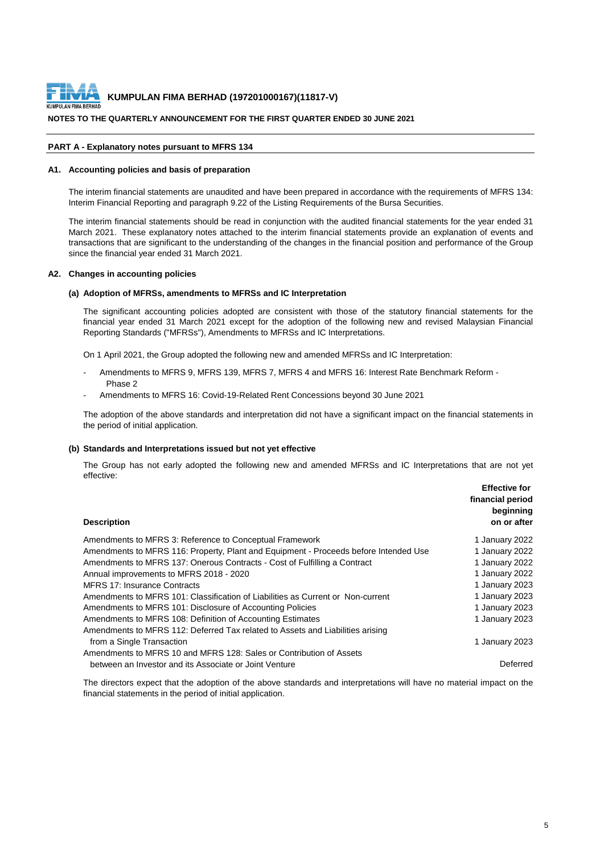

#### **NOTES TO THE QUARTERLY ANNOUNCEMENT FOR THE FIRST QUARTER ENDED 30 JUNE 2021**

#### **PART A - Explanatory notes pursuant to MFRS 134**

#### **A1. Accounting policies and basis of preparation**

The interim financial statements are unaudited and have been prepared in accordance with the requirements of MFRS 134: Interim Financial Reporting and paragraph 9.22 of the Listing Requirements of the Bursa Securities.

The interim financial statements should be read in conjunction with the audited financial statements for the year ended 31 March 2021. These explanatory notes attached to the interim financial statements provide an explanation of events and transactions that are significant to the understanding of the changes in the financial position and performance of the Group since the financial year ended 31 March 2021.

#### **A2. Changes in accounting policies**

#### **(a) Adoption of MFRSs, amendments to MFRSs and IC Interpretation**

The significant accounting policies adopted are consistent with those of the statutory financial statements for the financial year ended 31 March 2021 except for the adoption of the following new and revised Malaysian Financial Reporting Standards ("MFRSs"), Amendments to MFRSs and IC Interpretations.

On 1 April 2021, the Group adopted the following new and amended MFRSs and IC Interpretation:

- Amendments to MFRS 9, MFRS 139, MFRS 7, MFRS 4 and MFRS 16: Interest Rate Benchmark Reform Phase 2
- Amendments to MFRS 16: Covid-19-Related Rent Concessions beyond 30 June 2021

The adoption of the above standards and interpretation did not have a significant impact on the financial statements in the period of initial application.

#### **(b) Standards and Interpretations issued but not yet effective**

The Group has not early adopted the following new and amended MFRSs and IC Interpretations that are not yet effective:

| <b>Description</b>                                                                   | <b>Effective for</b><br>financial period<br>beginning<br>on or after |
|--------------------------------------------------------------------------------------|----------------------------------------------------------------------|
| Amendments to MFRS 3: Reference to Conceptual Framework                              | 1 January 2022                                                       |
| Amendments to MFRS 116: Property, Plant and Equipment - Proceeds before Intended Use | 1 January 2022                                                       |
| Amendments to MFRS 137: Onerous Contracts - Cost of Fulfilling a Contract            | 1 January 2022                                                       |
| Annual improvements to MFRS 2018 - 2020                                              | 1 January 2022                                                       |
| <b>MFRS 17: Insurance Contracts</b>                                                  | 1 January 2023                                                       |
| Amendments to MFRS 101: Classification of Liabilities as Current or Non-current      | 1 January 2023                                                       |
| Amendments to MFRS 101: Disclosure of Accounting Policies                            | 1 January 2023                                                       |
| Amendments to MFRS 108: Definition of Accounting Estimates                           | 1 January 2023                                                       |
| Amendments to MFRS 112: Deferred Tax related to Assets and Liabilities arising       |                                                                      |
| from a Single Transaction                                                            | 1 January 2023                                                       |
| Amendments to MFRS 10 and MFRS 128: Sales or Contribution of Assets                  |                                                                      |
| between an Investor and its Associate or Joint Venture                               | Deferred                                                             |

The directors expect that the adoption of the above standards and interpretations will have no material impact on the financial statements in the period of initial application.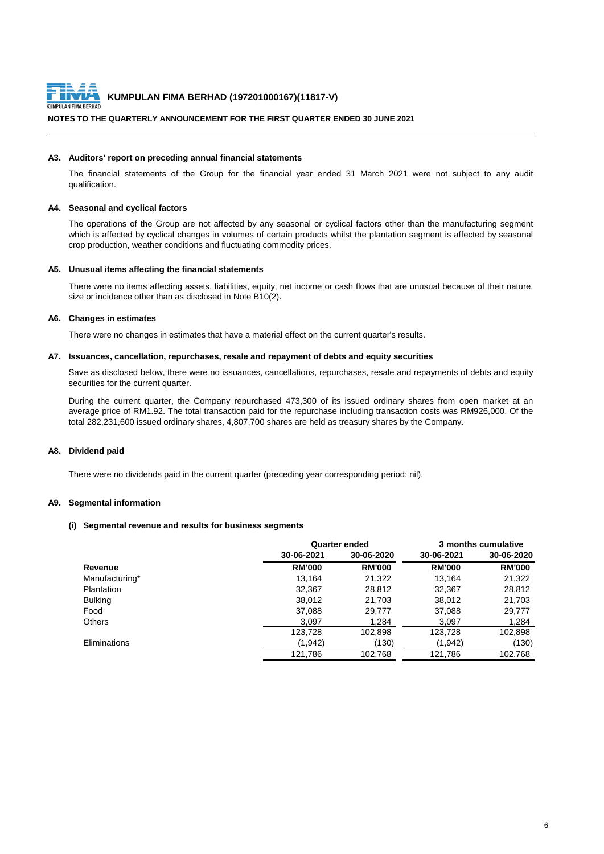

#### **NOTES TO THE QUARTERLY ANNOUNCEMENT FOR THE FIRST QUARTER ENDED 30 JUNE 2021**

#### **A3. Auditors' report on preceding annual financial statements**

The financial statements of the Group for the financial year ended 31 March 2021 were not subject to any audit qualification.

#### **A4. Seasonal and cyclical factors**

The operations of the Group are not affected by any seasonal or cyclical factors other than the manufacturing segment which is affected by cyclical changes in volumes of certain products whilst the plantation segment is affected by seasonal crop production, weather conditions and fluctuating commodity prices.

#### **A5. Unusual items affecting the financial statements**

There were no items affecting assets, liabilities, equity, net income or cash flows that are unusual because of their nature, size or incidence other than as disclosed in Note B10(2).

#### **A6. Changes in estimates**

There were no changes in estimates that have a material effect on the current quarter's results.

#### **A7. Issuances, cancellation, repurchases, resale and repayment of debts and equity securities**

Save as disclosed below, there were no issuances, cancellations, repurchases, resale and repayments of debts and equity securities for the current quarter.

During the current quarter, the Company repurchased 473,300 of its issued ordinary shares from open market at an average price of RM1.92. The total transaction paid for the repurchase including transaction costs was RM926,000. Of the total 282,231,600 issued ordinary shares, 4,807,700 shares are held as treasury shares by the Company.

#### **A8. Dividend paid**

There were no dividends paid in the current quarter (preceding year corresponding period: nil).

#### **A9. Segmental information**

#### **(i) Segmental revenue and results for business segments**

|                | <b>Quarter ended</b> |               | 3 months cumulative |               |  |
|----------------|----------------------|---------------|---------------------|---------------|--|
|                | 30-06-2021           | 30-06-2020    | 30-06-2021          | 30-06-2020    |  |
| <b>Revenue</b> | <b>RM'000</b>        | <b>RM'000</b> | <b>RM'000</b>       | <b>RM'000</b> |  |
| Manufacturing* | 13,164               | 21,322        | 13,164              | 21,322        |  |
| Plantation     | 32,367               | 28,812        | 32,367              | 28,812        |  |
| <b>Bulking</b> | 38,012               | 21,703        | 38,012              | 21,703        |  |
| Food           | 37,088               | 29,777        | 37,088              | 29,777        |  |
| <b>Others</b>  | 3,097                | 1,284         | 3,097               | 1,284         |  |
|                | 123,728              | 102,898       | 123,728             | 102,898       |  |
| Eliminations   | (1, 942)             | (130)         | (1, 942)            | (130)         |  |
|                | 121,786              | 102,768       | 121,786             | 102,768       |  |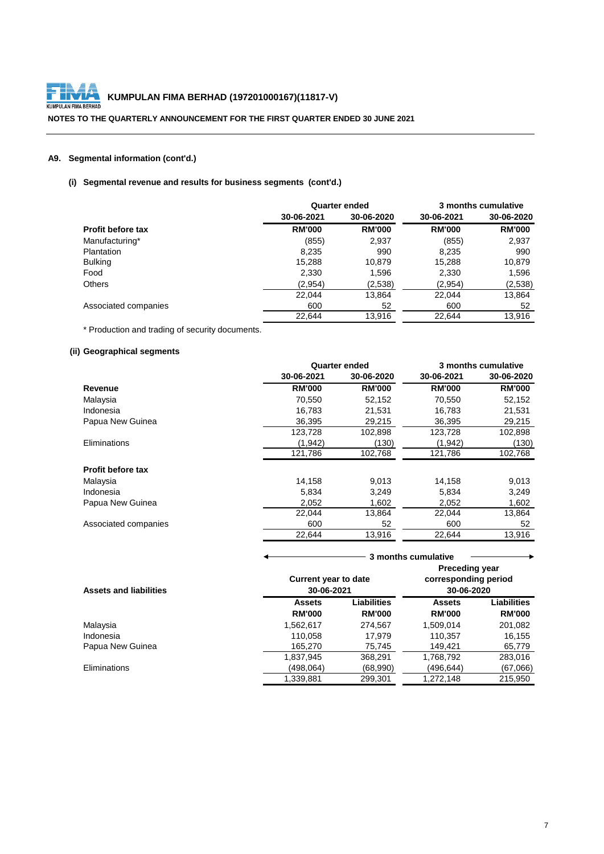

**NOTES TO THE QUARTERLY ANNOUNCEMENT FOR THE FIRST QUARTER ENDED 30 JUNE 2021**

# **A9. Segmental information (cont'd.)**

# **(i) Segmental revenue and results for business segments (cont'd.)**

|                          |               | <b>Quarter ended</b> |               | 3 months cumulative |
|--------------------------|---------------|----------------------|---------------|---------------------|
|                          | 30-06-2021    | 30-06-2020           | 30-06-2021    | 30-06-2020          |
| <b>Profit before tax</b> | <b>RM'000</b> | <b>RM'000</b>        | <b>RM'000</b> | <b>RM'000</b>       |
| Manufacturing*           | (855)         | 2,937                | (855)         | 2,937               |
| Plantation               | 8,235         | 990                  | 8,235         | 990                 |
| <b>Bulking</b>           | 15,288        | 10,879               | 15,288        | 10,879              |
| Food                     | 2,330         | 1,596                | 2,330         | 1,596               |
| <b>Others</b>            | (2,954)       | (2,538)              | (2,954)       | (2,538)             |
|                          | 22,044        | 13,864               | 22,044        | 13,864              |
| Associated companies     | 600           | 52                   | 600           | 52                  |
|                          | 22,644        | 13,916               | 22,644        | 13,916              |

\* Production and trading of security documents.

# **(ii) Geographical segments**

|                      |               | <b>Quarter ended</b> |               | 3 months cumulative |
|----------------------|---------------|----------------------|---------------|---------------------|
|                      | 30-06-2021    | 30-06-2020           | 30-06-2021    | 30-06-2020          |
| <b>Revenue</b>       | <b>RM'000</b> | <b>RM'000</b>        | <b>RM'000</b> | <b>RM'000</b>       |
| Malaysia             | 70,550        | 52,152               | 70,550        | 52,152              |
| Indonesia            | 16,783        | 21,531               | 16,783        | 21,531              |
| Papua New Guinea     | 36,395        | 29,215               | 36,395        | 29,215              |
|                      | 123,728       | 102,898              | 123,728       | 102,898             |
| Eliminations         | (1, 942)      | (130)                | (1, 942)      | (130)               |
|                      | 121,786       | 102,768              | 121,786       | 102,768             |
| Profit before tax    |               |                      |               |                     |
| Malaysia             | 14,158        | 9,013                | 14,158        | 9,013               |
| Indonesia            | 5,834         | 3,249                | 5,834         | 3,249               |
| Papua New Guinea     | 2,052         | 1,602                | 2,052         | 1,602               |
|                      | 22,044        | 13,864               | 22,044        | 13,864              |
| Associated companies | 600           | 52                   | 600           | 52                  |
|                      | 22,644        | 13,916               | 22,644        | 13,916              |
|                      |               |                      |               |                     |

|                               | 3 months cumulative         |                    |                       |                    |  |
|-------------------------------|-----------------------------|--------------------|-----------------------|--------------------|--|
|                               |                             |                    | <b>Preceding year</b> |                    |  |
|                               | <b>Current year to date</b> |                    | corresponding period  |                    |  |
| <b>Assets and liabilities</b> | 30-06-2021                  |                    | 30-06-2020            |                    |  |
|                               | <b>Assets</b>               | <b>Liabilities</b> | <b>Assets</b>         | <b>Liabilities</b> |  |
|                               | <b>RM'000</b>               | <b>RM'000</b>      | <b>RM'000</b>         | <b>RM'000</b>      |  |
| Malaysia                      | 1,562,617                   | 274,567            | 1,509,014             | 201,082            |  |
| Indonesia                     | 110,058                     | 17,979             | 110,357               | 16,155             |  |
| Papua New Guinea              | 165,270                     | 75,745             | 149,421               | 65,779             |  |
|                               | 1,837,945                   | 368,291            | 1,768,792             | 283,016            |  |
| Eliminations                  | (498,064)                   | (68,990)           | (496,644)             | (67,066)           |  |
|                               | 1,339,881                   | 299,301            | 1,272,148             | 215,950            |  |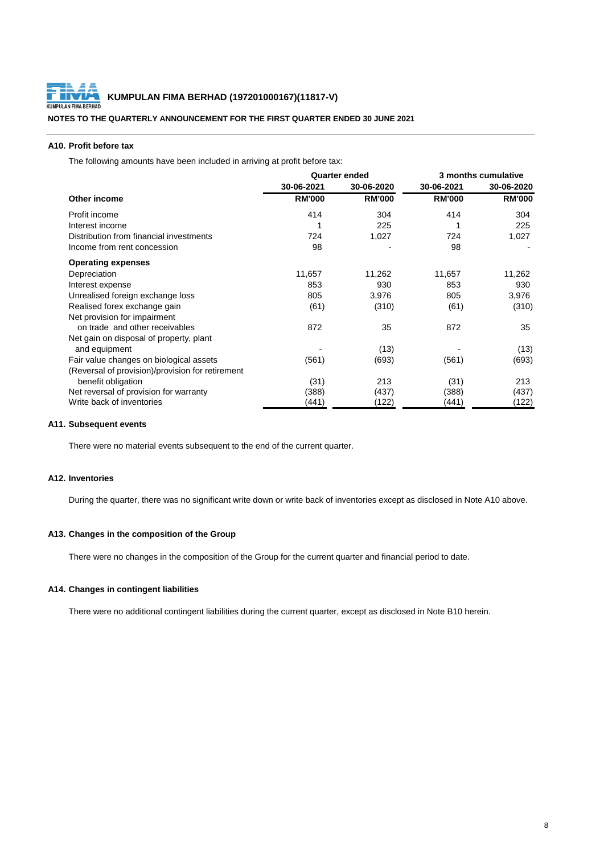

**NOTES TO THE QUARTERLY ANNOUNCEMENT FOR THE FIRST QUARTER ENDED 30 JUNE 2021**

### **A10. Profit before tax**

The following amounts have been included in arriving at profit before tax:

|                                                  | <b>Quarter ended</b> |               | 3 months cumulative |               |  |
|--------------------------------------------------|----------------------|---------------|---------------------|---------------|--|
|                                                  | 30-06-2021           | 30-06-2020    | 30-06-2021          | 30-06-2020    |  |
| Other income                                     | <b>RM'000</b>        | <b>RM'000</b> | <b>RM'000</b>       | <b>RM'000</b> |  |
| Profit income                                    | 414                  | 304           | 414                 | 304           |  |
| Interest income                                  |                      | 225           |                     | 225           |  |
| Distribution from financial investments          | 724                  | 1,027         | 724                 | 1,027         |  |
| Income from rent concession                      | 98                   |               | 98                  |               |  |
| <b>Operating expenses</b>                        |                      |               |                     |               |  |
| Depreciation                                     | 11,657               | 11,262        | 11,657              | 11,262        |  |
| Interest expense                                 | 853                  | 930           | 853                 | 930           |  |
| Unrealised foreign exchange loss                 | 805                  | 3,976         | 805                 | 3,976         |  |
| Realised forex exchange gain                     | (61)                 | (310)         | (61)                | (310)         |  |
| Net provision for impairment                     |                      |               |                     |               |  |
| on trade and other receivables                   | 872                  | 35            | 872                 | 35            |  |
| Net gain on disposal of property, plant          |                      |               |                     |               |  |
| and equipment                                    |                      | (13)          |                     | (13)          |  |
| Fair value changes on biological assets          | (561)                | (693)         | (561)               | (693)         |  |
| (Reversal of provision)/provision for retirement |                      |               |                     |               |  |
| benefit obligation                               | (31)                 | 213           | (31)                | 213           |  |
| Net reversal of provision for warranty           | (388)                | (437)         | (388)               | (437)         |  |
| Write back of inventories                        | (441)                | (122)         | (441)               | (122)         |  |

#### **A11. Subsequent events**

There were no material events subsequent to the end of the current quarter.

#### **A12. Inventories**

During the quarter, there was no significant write down or write back of inventories except as disclosed in Note A10 above.

#### **A13. Changes in the composition of the Group**

There were no changes in the composition of the Group for the current quarter and financial period to date.

## **A14. Changes in contingent liabilities**

There were no additional contingent liabilities during the current quarter, except as disclosed in Note B10 herein.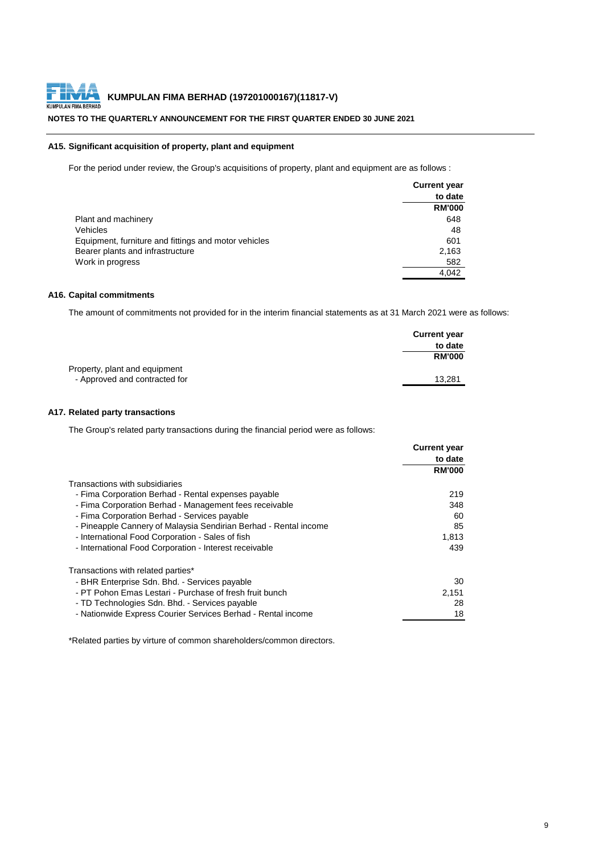

#### **NOTES TO THE QUARTERLY ANNOUNCEMENT FOR THE FIRST QUARTER ENDED 30 JUNE 2021**

#### **A15. Significant acquisition of property, plant and equipment**

For the period under review, the Group's acquisitions of property, plant and equipment are as follows :

|                                                      | <b>Current year</b> |
|------------------------------------------------------|---------------------|
|                                                      | to date             |
|                                                      | <b>RM'000</b>       |
| Plant and machinery                                  | 648                 |
| Vehicles                                             | 48                  |
| Equipment, furniture and fittings and motor vehicles | 601                 |
| Bearer plants and infrastructure                     | 2,163               |
| Work in progress                                     | 582                 |
|                                                      | 4,042               |

#### **A16. Capital commitments**

The amount of commitments not provided for in the interim financial statements as at 31 March 2021 were as follows:

|                               | <b>Current year</b> |
|-------------------------------|---------------------|
|                               | to date             |
|                               | <b>RM'000</b>       |
| Property, plant and equipment |                     |
| - Approved and contracted for | 13,281              |

## **A17. Related party transactions**

The Group's related party transactions during the financial period were as follows:

|                                                                  | <b>Current year</b> |
|------------------------------------------------------------------|---------------------|
|                                                                  | to date             |
|                                                                  | <b>RM'000</b>       |
| Transactions with subsidiaries                                   |                     |
| - Fima Corporation Berhad - Rental expenses payable              | 219                 |
| - Fima Corporation Berhad - Management fees receivable           | 348                 |
| - Fima Corporation Berhad - Services payable                     | 60                  |
| - Pineapple Cannery of Malaysia Sendirian Berhad - Rental income | 85                  |
| - International Food Corporation - Sales of fish                 | 1,813               |
| - International Food Corporation - Interest receivable           | 439                 |
| Transactions with related parties*                               |                     |
| - BHR Enterprise Sdn. Bhd. - Services payable                    | 30                  |
| - PT Pohon Emas Lestari - Purchase of fresh fruit bunch          | 2,151               |
| - TD Technologies Sdn. Bhd. - Services payable                   | 28                  |
| - Nationwide Express Courier Services Berhad - Rental income     | 18                  |

\*Related parties by virture of common shareholders/common directors.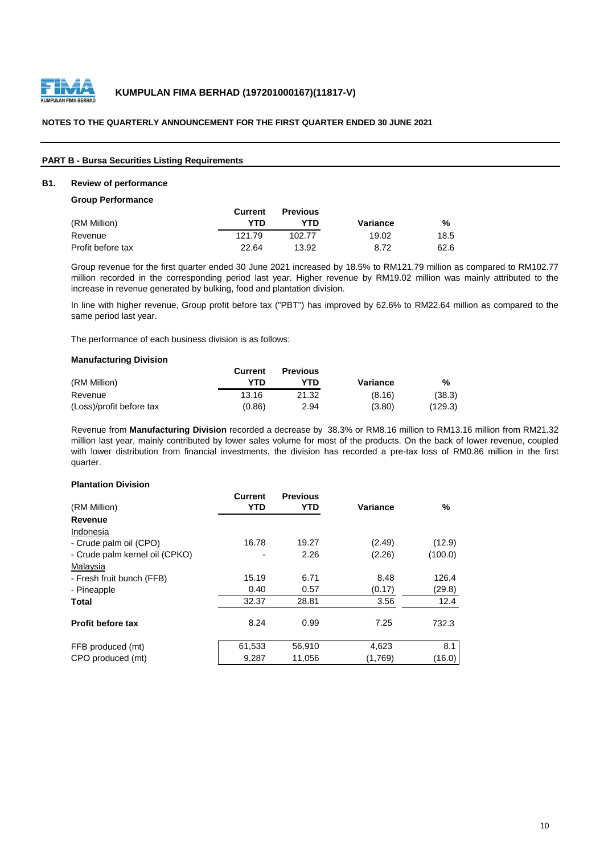

| <b>PART B - Bursa Securities Listing Requirements</b> |  |  |
|-------------------------------------------------------|--|--|
|-------------------------------------------------------|--|--|

#### **B1. Review of performance**

#### **Group Performance**

|                   | <b>Current</b> | <b>Previous</b> |          |      |
|-------------------|----------------|-----------------|----------|------|
| (RM Million)      | YTD            | YTN             | Variance | %    |
| Revenue           | 121.79         | 102.77          | 19.02    | 18.5 |
| Profit before tax | 22.64          | 13.92           | 8.72     | 62.6 |

Group revenue for the first quarter ended 30 June 2021 increased by 18.5% to RM121.79 million as compared to RM102.77 million recorded in the corresponding period last year. Higher revenue by RM19.02 million was mainly attributed to the increase in revenue generated by bulking, food and plantation division.

In line with higher revenue, Group profit before tax ("PBT") has improved by 62.6% to RM22.64 million as compared to the same period last year.

The performance of each business division is as follows:

#### **Manufacturing Division**

|                          | <b>Current</b> | <b>Previous</b> |          |         |
|--------------------------|----------------|-----------------|----------|---------|
| (RM Million)             | YTD            | YTN             | Variance | %       |
| Revenue                  | 13.16          | 21.32           | (8.16)   | (38.3)  |
| (Loss)/profit before tax | (0.86)         | 2.94            | (3.80)   | (129.3) |

Revenue from **Manufacturing Division** recorded a decrease by 38.3% or RM8.16 million to RM13.16 million from RM21.32 million last year, mainly contributed by lower sales volume for most of the products. On the back of lower revenue, coupled with lower distribution from financial investments, the division has recorded a pre-tax loss of RM0.86 million in the first quarter.

#### **Plantation Division**

|                                | <b>Current</b> | <b>Previous</b> |                 |         |
|--------------------------------|----------------|-----------------|-----------------|---------|
| (RM Million)                   | <b>YTD</b>     | YTD             | <b>Variance</b> | %       |
| <b>Revenue</b>                 |                |                 |                 |         |
| Indonesia                      |                |                 |                 |         |
| - Crude palm oil (CPO)         | 16.78          | 19.27           | (2.49)          | (12.9)  |
| - Crude palm kernel oil (CPKO) |                | 2.26            | (2.26)          | (100.0) |
| Malaysia                       |                |                 |                 |         |
| - Fresh fruit bunch (FFB)      | 15.19          | 6.71            | 8.48            | 126.4   |
| - Pineapple                    | 0.40           | 0.57            | (0.17)          | (29.8)  |
| <b>Total</b>                   | 32.37          | 28.81           | 3.56            | 12.4    |
| <b>Profit before tax</b>       | 8.24           | 0.99            | 7.25            | 732.3   |
| FFB produced (mt)              | 61,533         | 56,910          | 4,623           | 8.1     |
| CPO produced (mt)              | 9,287          | 11,056          | (1,769)         | (16.0)  |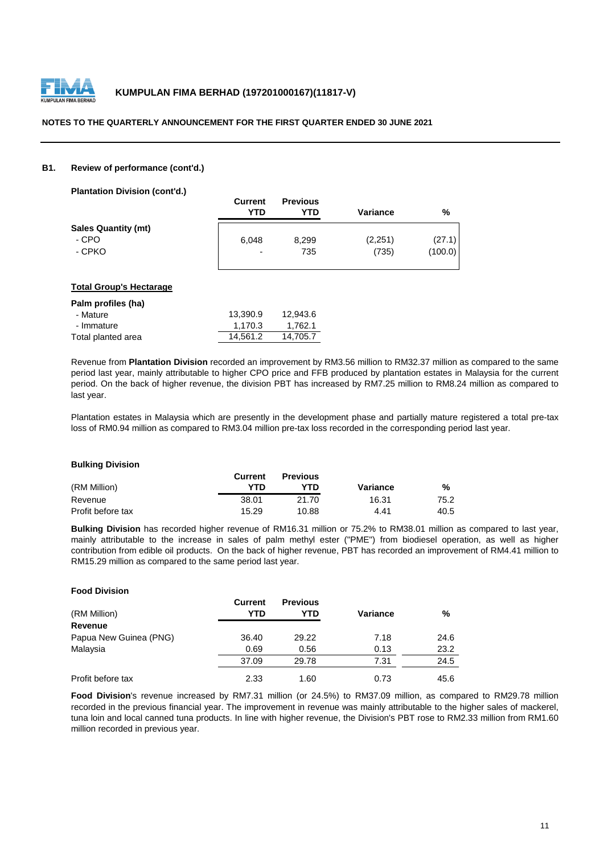

#### **B1. Review of performance (cont'd.)**

| <b>Plantation Division (cont'd.)</b> |                          |                        |                 |               |
|--------------------------------------|--------------------------|------------------------|-----------------|---------------|
|                                      | <b>Current</b><br>YTD    | <b>Previous</b><br>YTD | <b>Variance</b> | $\frac{9}{6}$ |
| <b>Sales Quantity (mt)</b>           |                          |                        |                 |               |
| - CPO                                | 6,048                    | 8,299                  | (2,251)         | (27.1)        |
| - CPKO                               | $\overline{\phantom{0}}$ | 735                    | (735)           | (100.0)       |
|                                      |                          |                        |                 |               |

#### **Total Group's Hectarage**

| Palm profiles (ha) |          |          |
|--------------------|----------|----------|
| - Mature           | 13,390.9 | 12,943.6 |
| - Immature         | 1,170.3  | 1,762.1  |
| Total planted area | 14,561.2 | 14,705.7 |

Revenue from **Plantation Division** recorded an improvement by RM3.56 million to RM32.37 million as compared to the same period last year, mainly attributable to higher CPO price and FFB produced by plantation estates in Malaysia for the current period. On the back of higher revenue, the division PBT has increased by RM7.25 million to RM8.24 million as compared to last year.

Plantation estates in Malaysia which are presently in the development phase and partially mature registered a total pre-tax loss of RM0.94 million as compared to RM3.04 million pre-tax loss recorded in the corresponding period last year.

#### **Bulking Division**

|                   | <b>Current</b> | <b>Previous</b> |          |      |
|-------------------|----------------|-----------------|----------|------|
| (RM Million)      | YTN            | <b>YTD</b>      | Variance | %    |
| Revenue           | 38.01          | 21.70           | 16.31    | 75.2 |
| Profit before tax | 15.29          | 10.88           | 4.41     | 40.5 |

**Bulking Division** has recorded higher revenue of RM16.31 million or 75.2% to RM38.01 million as compared to last year, mainly attributable to the increase in sales of palm methyl ester ("PME") from biodiesel operation, as well as higher contribution from edible oil products. On the back of higher revenue, PBT has recorded an improvement of RM4.41 million to RM15.29 million as compared to the same period last year.

| <b>Food Division</b>   |                       |                        |                 |      |
|------------------------|-----------------------|------------------------|-----------------|------|
| (RM Million)           | <b>Current</b><br>YTD | <b>Previous</b><br>YTD | <b>Variance</b> | %    |
| <b>Revenue</b>         |                       |                        |                 |      |
| Papua New Guinea (PNG) | 36.40                 | 29.22                  | 7.18            | 24.6 |
| Malaysia               | 0.69                  | 0.56                   | 0.13            | 23.2 |
|                        | 37.09                 | 29.78                  | 7.31            | 24.5 |
| Profit before tax      | 2.33                  | 1.60                   | 0.73            | 45.6 |

**Food Division**'s revenue increased by RM7.31 million (or 24.5%) to RM37.09 million, as compared to RM29.78 million recorded in the previous financial year. The improvement in revenue was mainly attributable to the higher sales of mackerel, tuna loin and local canned tuna products. In line with higher revenue, the Division's PBT rose to RM2.33 million from RM1.60 million recorded in previous year.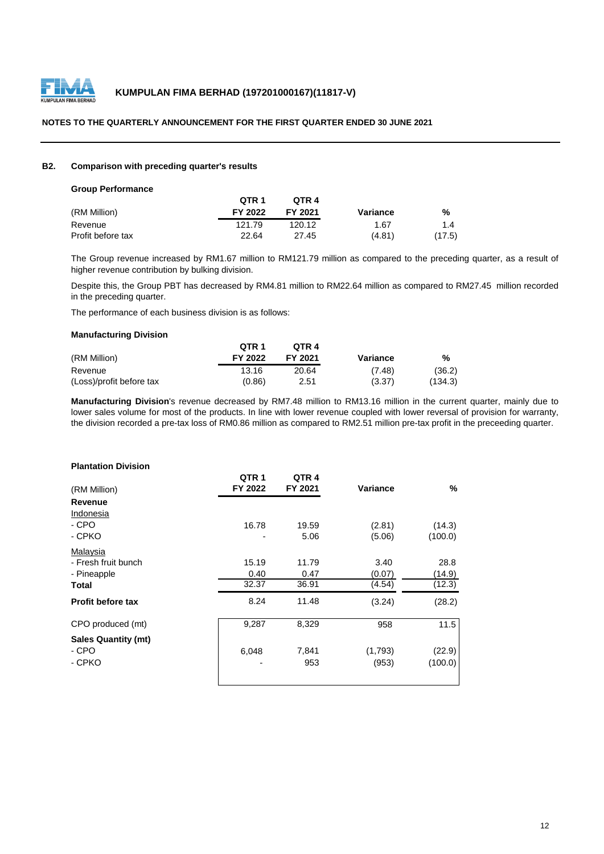

#### **B2. Comparison with preceding quarter's results**

|  | <b>Group Performance</b> |  |
|--|--------------------------|--|
|--|--------------------------|--|

|                   | QTR 1   | OTR 4   |          |        |
|-------------------|---------|---------|----------|--------|
| (RM Million)      | FY 2022 | FY 2021 | Variance | %      |
| Revenue           | 121.79  | 120.12  | 1.67     | 1.4    |
| Profit before tax | 22.64   | 27.45   | (4.81)   | (17.5) |

The Group revenue increased by RM1.67 million to RM121.79 million as compared to the preceding quarter, as a result of higher revenue contribution by bulking division.

Despite this, the Group PBT has decreased by RM4.81 million to RM22.64 million as compared to RM27.45 million recorded in the preceding quarter.

The performance of each business division is as follows:

#### **Manufacturing Division**

|                          | QTR 1   | OTR <sub>4</sub> |          |         |
|--------------------------|---------|------------------|----------|---------|
| (RM Million)             | FY 2022 | FY 2021          | Variance | %       |
| Revenue                  | 13.16   | 20.64            | (7.48)   | (36.2)  |
| (Loss)/profit before tax | (0.86)  | 2.51             | (3.37)   | (134.3) |

**Manufacturing Division**'s revenue decreased by RM7.48 million to RM13.16 million in the current quarter, mainly due to lower sales volume for most of the products. In line with lower revenue coupled with lower reversal of provision for warranty, the division recorded a pre-tax loss of RM0.86 million as compared to RM2.51 million pre-tax profit in the preceeding quarter.

#### **Plantation Division**

| (RM Million)               | QTR <sub>1</sub><br>FY 2022 | QTR4<br>FY 2021 | <b>Variance</b> | $\%$    |
|----------------------------|-----------------------------|-----------------|-----------------|---------|
| <b>Revenue</b>             |                             |                 |                 |         |
| Indonesia                  |                             |                 |                 |         |
| - CPO                      | 16.78                       | 19.59           | (2.81)          | (14.3)  |
| - CPKO                     | -                           | 5.06            | (5.06)          | (100.0) |
| Malaysia                   |                             |                 |                 |         |
| - Fresh fruit bunch        | 15.19                       | 11.79           | 3.40            | 28.8    |
| - Pineapple                | 0.40                        | 0.47            | (0.07)          | (14.9)  |
| <b>Total</b>               | 32.37                       | 36.91           | (4.54)          | (12.3)  |
| <b>Profit before tax</b>   | 8.24                        | 11.48           | (3.24)          | (28.2)  |
| CPO produced (mt)          | 9,287                       | 8,329           | 958             | 11.5    |
| <b>Sales Quantity (mt)</b> |                             |                 |                 |         |
| - CPO                      | 6,048                       | 7,841           | (1,793)         | (22.9)  |
| - CPKO                     |                             | 953             | (953)           | (100.0) |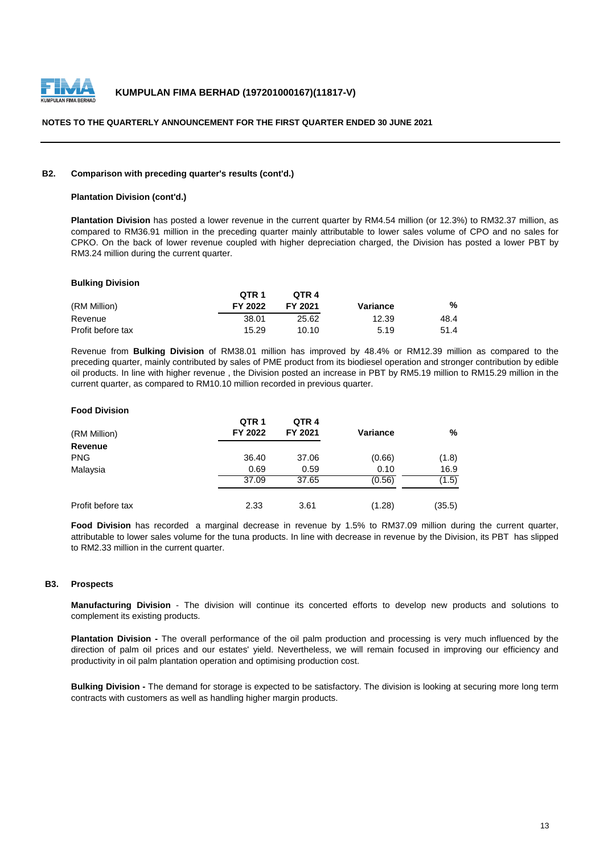

#### **B2. Comparison with preceding quarter's results (cont'd.)**

#### **Plantation Division (cont'd.)**

**Plantation Division** has posted a lower revenue in the current quarter by RM4.54 million (or 12.3%) to RM32.37 million, as compared to RM36.91 million in the preceding quarter mainly attributable to lower sales volume of CPO and no sales for CPKO. On the back of lower revenue coupled with higher depreciation charged, the Division has posted a lower PBT by RM3.24 million during the current quarter.

#### **Bulking Division**

|                   | QTR 1          | OTR <sub>4</sub> |          |      |
|-------------------|----------------|------------------|----------|------|
| (RM Million)      | <b>FY 2022</b> | FY 2021          | Variance | %    |
| Revenue           | 38.01          | 25.62            | 12.39    | 48.4 |
| Profit before tax | 15.29          | 10.10            | 5.19     | 51.4 |

Revenue from **Bulking Division** of RM38.01 million has improved by 48.4% or RM12.39 million as compared to the preceding quarter, mainly contributed by sales of PME product from its biodiesel operation and stronger contribution by edible oil products. In line with higher revenue , the Division posted an increase in PBT by RM5.19 million to RM15.29 million in the current quarter, as compared to RM10.10 million recorded in previous quarter.

#### **Food Division**

| (RM Million)      | QTR <sub>1</sub><br>FY 2022 | QTR4<br>FY 2021 | <b>Variance</b> | %      |
|-------------------|-----------------------------|-----------------|-----------------|--------|
| <b>Revenue</b>    |                             |                 |                 |        |
| <b>PNG</b>        | 36.40                       | 37.06           | (0.66)          | (1.8)  |
| Malaysia          | 0.69                        | 0.59            | 0.10            | 16.9   |
|                   | 37.09                       | 37.65           | (0.56)          | (1.5)  |
| Profit before tax | 2.33                        | 3.61            | (1.28)          | (35.5) |

**Food Division** has recorded a marginal decrease in revenue by 1.5% to RM37.09 million during the current quarter, attributable to lower sales volume for the tuna products. In line with decrease in revenue by the Division, its PBT has slipped to RM2.33 million in the current quarter.

#### **B3. Prospects**

**Manufacturing Division** - The division will continue its concerted efforts to develop new products and solutions to complement its existing products.

**Plantation Division -** The overall performance of the oil palm production and processing is very much influenced by the direction of palm oil prices and our estates' yield. Nevertheless, we will remain focused in improving our efficiency and productivity in oil palm plantation operation and optimising production cost.

**Bulking Division -** The demand for storage is expected to be satisfactory. The division is looking at securing more long term contracts with customers as well as handling higher margin products.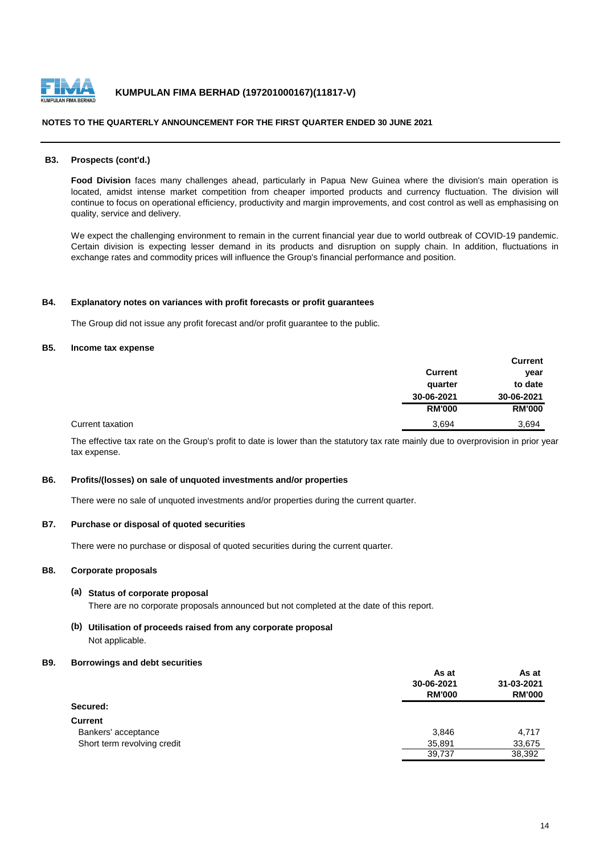

#### **B3. Prospects (cont'd.)**

**Food Division** faces many challenges ahead, particularly in Papua New Guinea where the division's main operation is located, amidst intense market competition from cheaper imported products and currency fluctuation. The division will continue to focus on operational efficiency, productivity and margin improvements, and cost control as well as emphasising on quality, service and delivery.

We expect the challenging environment to remain in the current financial year due to world outbreak of COVID-19 pandemic. Certain division is expecting lesser demand in its products and disruption on supply chain. In addition, fluctuations in exchange rates and commodity prices will influence the Group's financial performance and position.

#### **B4. Explanatory notes on variances with profit forecasts or profit guarantees**

The Group did not issue any profit forecast and/or profit guarantee to the public.

#### **B5. Income tax expense**

|                | <b>Current</b> |
|----------------|----------------|
| <b>Current</b> | year           |
| quarter        | to date        |
| 30-06-2021     | 30-06-2021     |
| <b>RM'000</b>  | <b>RM'000</b>  |
| 3,694          | 3,694          |

The effective tax rate on the Group's profit to date is lower than the statutory tax rate mainly due to overprovision in prior year tax expense.

#### **B6. Profits/(losses) on sale of unquoted investments and/or properties**

There were no sale of unquoted investments and/or properties during the current quarter.

#### **B7. Purchase or disposal of quoted securities**

There were no purchase or disposal of quoted securities during the current quarter.

#### **B8. Corporate proposals**

#### **(a) Status of corporate proposal** There are no corporate proposals announced but not completed at the date of this report.

## **(b) Utilisation of proceeds raised from any corporate proposal** Not applicable.

#### **B9. Borrowings and debt securities**

|                             | As at         | As at<br>31-03-2021<br><b>RM'000</b> |
|-----------------------------|---------------|--------------------------------------|
|                             | 30-06-2021    |                                      |
|                             | <b>RM'000</b> |                                      |
| Secured:                    |               |                                      |
| <b>Current</b>              |               |                                      |
| Bankers' acceptance         | 3,846         | 4,717                                |
| Short term revolving credit | 35,891        | 33,675                               |
|                             | 39,737        | 38,392                               |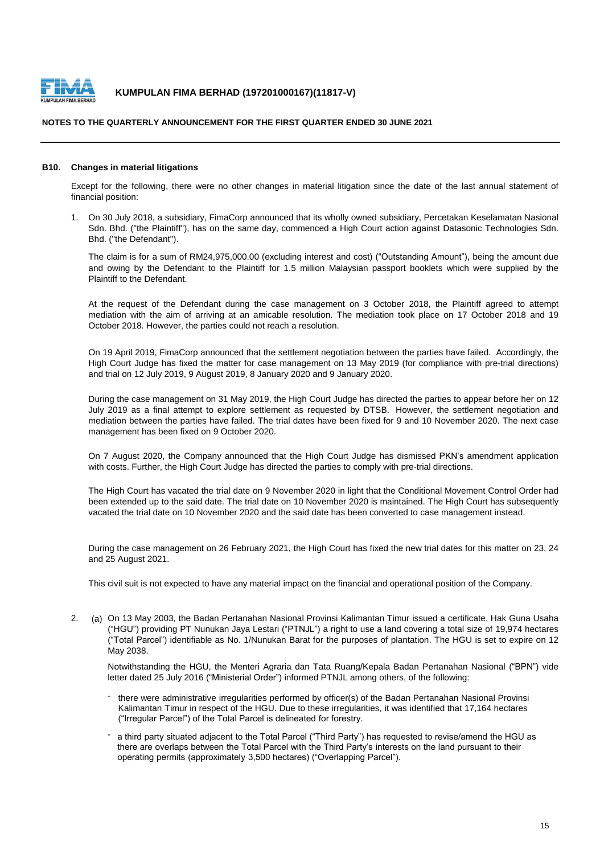

#### **NOTES TO THE QUARTERLY ANNOUNCEMENT FOR THE FIRST QUARTER ENDED 30 JUNE 2021**

#### **B10. Changes in material litigations**

Except for the following, there were no other changes in material litigation since the date of the last annual statement of financial position:

1. On 30 July 2018, a subsidiary, FimaCorp announced that its wholly owned subsidiary, Percetakan Keselamatan Nasional Sdn. Bhd. ("the Plaintiff"), has on the same day, commenced a High Court action against Datasonic Technologies Sdn. Bhd. ("the Defendant").

The claim is for a sum of RM24,975,000.00 (excluding interest and cost) ("Outstanding Amount"), being the amount due and owing by the Defendant to the Plaintiff for 1.5 million Malaysian passport booklets which were supplied by the Plaintiff to the Defendant.

At the request of the Defendant during the case management on 3 October 2018, the Plaintiff agreed to attempt mediation with the aim of arriving at an amicable resolution. The mediation took place on 17 October 2018 and 19 October 2018. However, the parties could not reach a resolution.

On 19 April 2019, FimaCorp announced that the settlement negotiation between the parties have failed. Accordingly, the High Court Judge has fixed the matter for case management on 13 May 2019 (for compliance with pre-trial directions) and trial on 12 July 2019, 9 August 2019, 8 January 2020 and 9 January 2020.

During the case management on 31 May 2019, the High Court Judge has directed the parties to appear before her on 12 July 2019 as a final attempt to explore settlement as requested by DTSB. However, the settlement negotiation and mediation between the parties have failed. The trial dates have been fixed for 9 and 10 November 2020. The next case management has been fixed on 9 October 2020.

On 7 August 2020, the Company announced that the High Court Judge has dismissed PKN's amendment application with costs. Further, the High Court Judge has directed the parties to comply with pre-trial directions.

The High Court has vacated the trial date on 9 November 2020 in light that the Conditional Movement Control Order had been extended up to the said date. The trial date on 10 November 2020 is maintained. The High Court has subsequently vacated the trial date on 10 November 2020 and the said date has been converted to case management instead.

During the case management on 26 February 2021, the High Court has fixed the new trial dates for this matter on 23, 24 and 25 August 2021.

This civil suit is not expected to have any material impact on the financial and operational position of the Company.

2. (a) On 13 May 2003, the Badan Pertanahan Nasional Provinsi Kalimantan Timur issued a certificate, Hak Guna Usaha ("HGU") providing PT Nunukan Jaya Lestari ("PTNJL") a right to use a land covering a total size of 19,974 hectares ("Total Parcel") identifiable as No. 1/Nunukan Barat for the purposes of plantation. The HGU is set to expire on 12 May 2038.

Notwithstanding the HGU, the Menteri Agraria dan Tata Ruang/Kepala Badan Pertanahan Nasional ("BPN") vide letter dated 25 July 2016 ("Ministerial Order") informed PTNJL among others, of the following:

- there were administrative irregularities performed by officer(s) of the Badan Pertanahan Nasional Provinsi Kalimantan Timur in respect of the HGU. Due to these irregularities, it was identified that 17,164 hectares ("Irregular Parcel") of the Total Parcel is delineated for forestry.
- a third party situated adjacent to the Total Parcel ("Third Party") has requested to revise/amend the HGU as there are overlaps between the Total Parcel with the Third Party's interests on the land pursuant to their operating permits (approximately 3,500 hectares) ("Overlapping Parcel").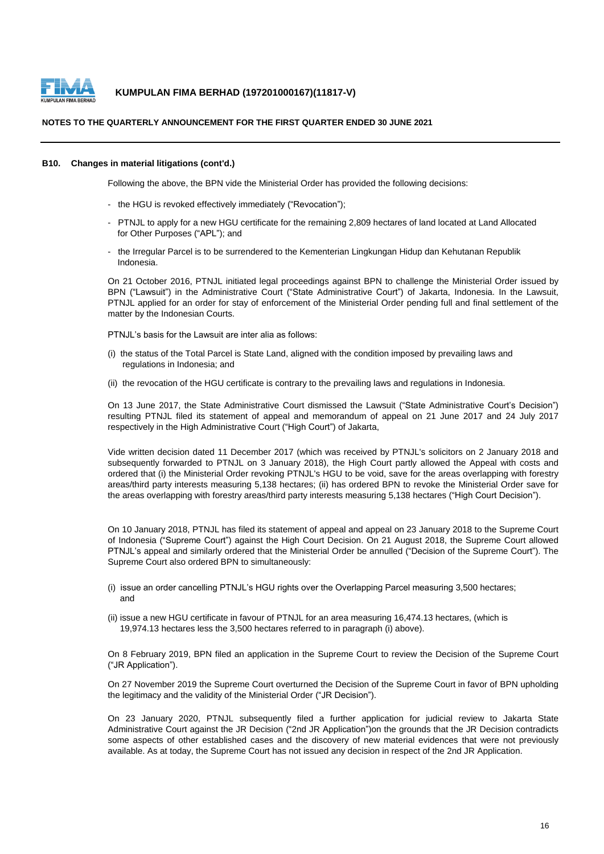

#### **NOTES TO THE QUARTERLY ANNOUNCEMENT FOR THE FIRST QUARTER ENDED 30 JUNE 2021**

#### **B10. Changes in material litigations (cont'd.)**

Following the above, the BPN vide the Ministerial Order has provided the following decisions:

- the HGU is revoked effectively immediately ("Revocation");
- PTNJL to apply for a new HGU certificate for the remaining 2,809 hectares of land located at Land Allocated for Other Purposes ("APL"); and
- the Irregular Parcel is to be surrendered to the Kementerian Lingkungan Hidup dan Kehutanan Republik Indonesia.

On 21 October 2016, PTNJL initiated legal proceedings against BPN to challenge the Ministerial Order issued by BPN ("Lawsuit") in the Administrative Court ("State Administrative Court") of Jakarta, Indonesia. In the Lawsuit, PTNJL applied for an order for stay of enforcement of the Ministerial Order pending full and final settlement of the matter by the Indonesian Courts.

PTNJL's basis for the Lawsuit are inter alia as follows:

- (i) the status of the Total Parcel is State Land, aligned with the condition imposed by prevailing laws and regulations in Indonesia; and
- (ii) the revocation of the HGU certificate is contrary to the prevailing laws and regulations in Indonesia.

On 13 June 2017, the State Administrative Court dismissed the Lawsuit ("State Administrative Court's Decision") resulting PTNJL filed its statement of appeal and memorandum of appeal on 21 June 2017 and 24 July 2017 respectively in the High Administrative Court ("High Court") of Jakarta,

Vide written decision dated 11 December 2017 (which was received by PTNJL's solicitors on 2 January 2018 and subsequently forwarded to PTNJL on 3 January 2018), the High Court partly allowed the Appeal with costs and ordered that (i) the Ministerial Order revoking PTNJL's HGU to be void, save for the areas overlapping with forestry areas/third party interests measuring 5,138 hectares; (ii) has ordered BPN to revoke the Ministerial Order save for the areas overlapping with forestry areas/third party interests measuring 5,138 hectares ("High Court Decision").

On 10 January 2018, PTNJL has filed its statement of appeal and appeal on 23 January 2018 to the Supreme Court of Indonesia ("Supreme Court") against the High Court Decision. On 21 August 2018, the Supreme Court allowed PTNJL's appeal and similarly ordered that the Ministerial Order be annulled ("Decision of the Supreme Court"). The Supreme Court also ordered BPN to simultaneously:

- (i) issue an order cancelling PTNJL's HGU rights over the Overlapping Parcel measuring 3,500 hectares; and
- (ii) issue a new HGU certificate in favour of PTNJL for an area measuring 16,474.13 hectares, (which is 19,974.13 hectares less the 3,500 hectares referred to in paragraph (i) above).

On 8 February 2019, BPN filed an application in the Supreme Court to review the Decision of the Supreme Court ("JR Application").

On 27 November 2019 the Supreme Court overturned the Decision of the Supreme Court in favor of BPN upholding the legitimacy and the validity of the Ministerial Order ("JR Decision").

On 23 January 2020, PTNJL subsequently filed a further application for judicial review to Jakarta State Administrative Court against the JR Decision ("2nd JR Application")on the grounds that the JR Decision contradicts some aspects of other established cases and the discovery of new material evidences that were not previously available. As at today, the Supreme Court has not issued any decision in respect of the 2nd JR Application.